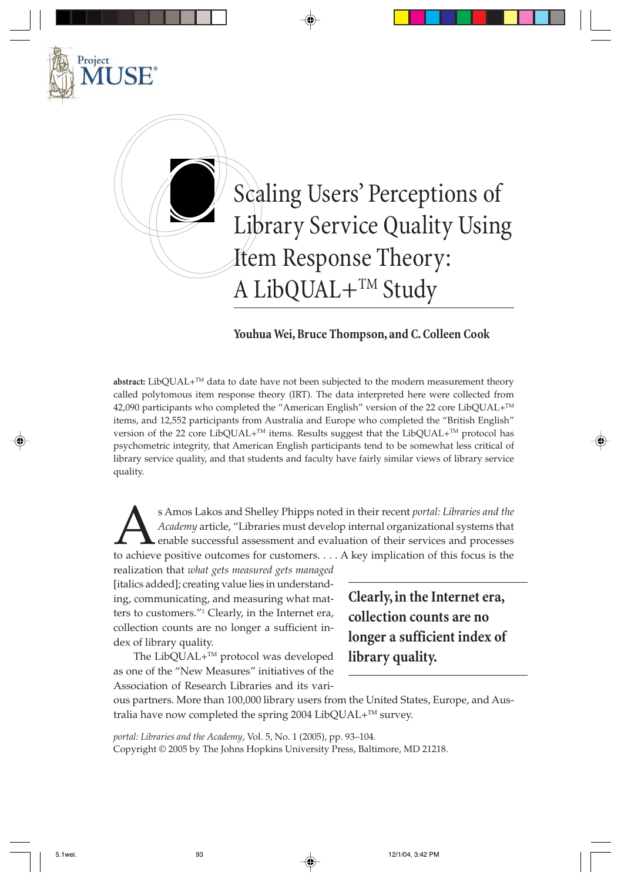

## **Youhua Wei, Bruce Thompson, and C. Colleen Cook**

**abstract:** LibQUAL+TM data to date have not been subjected to the modern measurement theory called polytomous item response theory (IRT). The data interpreted here were collected from 42,090 participants who completed the "American English" version of the 22 core LibQUAL+ $^{TM}$ items, and 12,552 participants from Australia and Europe who completed the "British English" version of the 22 core LibQUAL+<sup>TM</sup> items. Results suggest that the LibQUAL+<sup>TM</sup> protocol has psychometric integrity, that American English participants tend to be somewhat less critical of library service quality, and that students and faculty have fairly similar views of library service quality.

**Anos Lakos and Shelley Phipps noted in their recent** *portal: Libraries and the* **Academy article, "Libraries must develop internal organizational systems that enable successful assessment and evaluation of their services a** *Academy* article, "Libraries must develop internal organizational systems that enable successful assessment and evaluation of their services and processes

realization that *what gets measured gets managed* [italics added]; creating value lies in understanding, communicating, and measuring what matters to customers."1 Clearly, in the Internet era, collection counts are no longer a sufficient index of library quality.

Project

The LibQUAL+<sup>™</sup> protocol was developed as one of the "New Measures" initiatives of the Association of Research Libraries and its vari**Clearly, in the Internet era, collection counts are no longer a sufficient index of library quality.**

ous partners. More than 100,000 library users from the United States, Europe, and Australia have now completed the spring 2004 LibQUAL+ $^{TM}$  survey.

*portal: Libraries and the Academy*, Vol. 5, No. 1 (2005), pp. 93–104. Copyright © 2005 by The Johns Hopkins University Press, Baltimore, MD 21218.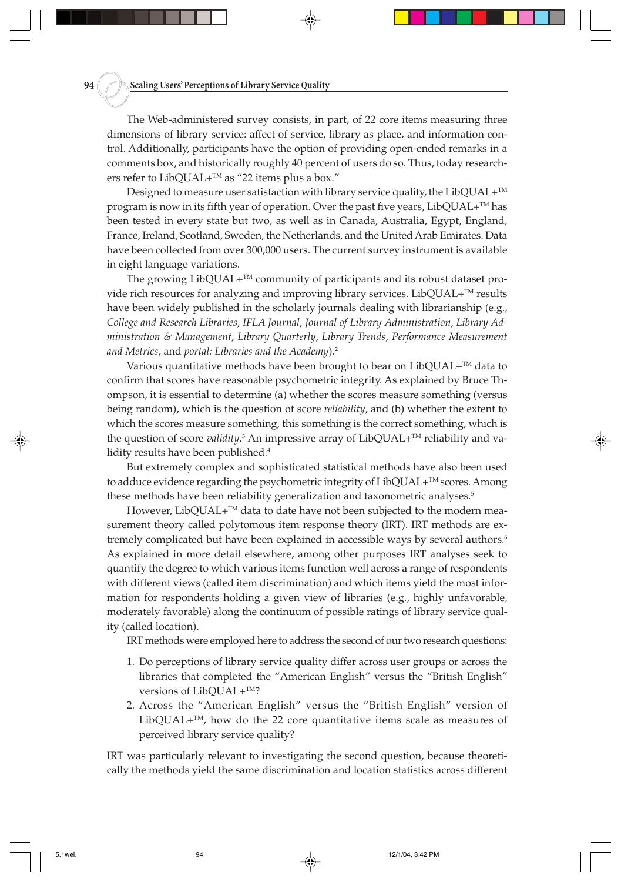The Web-administered survey consists, in part, of 22 core items measuring three dimensions of library service: affect of service, library as place, and information control. Additionally, participants have the option of providing open-ended remarks in a comments box, and historically roughly 40 percent of users do so. Thus, today researchers refer to LibQUAL+ $^{TM}$  as "22 items plus a box."

Designed to measure user satisfaction with library service quality, the LibQUAL $+^{TM}$ program is now in its fifth year of operation. Over the past five years,  $LibQUAL+^{TM}$  has been tested in every state but two, as well as in Canada, Australia, Egypt, England, France, Ireland, Scotland, Sweden, the Netherlands, and the United Arab Emirates. Data have been collected from over 300,000 users. The current survey instrument is available in eight language variations.

The growing  $LibQUAL+^{TM}$  community of participants and its robust dataset provide rich resources for analyzing and improving library services. LibQUAL+<sup>™</sup> results have been widely published in the scholarly journals dealing with librarianship (e.g., *College and Research Libraries*, *IFLA Journal*, *Journal of Library Administration*, *Library Administration & Management*, *Library Quarterly*, *Library Trends*, *Performance Measurement and Metrics*, and *portal: Libraries and the Academy*).2

Various quantitative methods have been brought to bear on  $LibQUAL+^{TM}$  data to confirm that scores have reasonable psychometric integrity. As explained by Bruce Thompson, it is essential to determine (a) whether the scores measure something (versus being random), which is the question of score *reliability*, and (b) whether the extent to which the scores measure something, this something is the correct something, which is the question of score *validity*.<sup>3</sup> An impressive array of LibQUAL+™ reliability and validity results have been published.<sup>4</sup>

But extremely complex and sophisticated statistical methods have also been used to adduce evidence regarding the psychometric integrity of  $LibQUAL+^{TM}$  scores. Among these methods have been reliability generalization and taxonometric analyses.<sup>5</sup>

However, LibQUAL+<sup>™</sup> data to date have not been subjected to the modern measurement theory called polytomous item response theory (IRT). IRT methods are extremely complicated but have been explained in accessible ways by several authors.<sup>6</sup> As explained in more detail elsewhere, among other purposes IRT analyses seek to quantify the degree to which various items function well across a range of respondents with different views (called item discrimination) and which items yield the most information for respondents holding a given view of libraries (e.g., highly unfavorable, moderately favorable) along the continuum of possible ratings of library service quality (called location).

IRT methods were employed here to address the second of our two research questions:

- 1. Do perceptions of library service quality differ across user groups or across the libraries that completed the "American English" versus the "British English" versions of LibQUAL+™?
- 2. Across the "American English" versus the "British English" version of LibQUAL $+^{TM}$ , how do the 22 core quantitative items scale as measures of perceived library service quality?

IRT was particularly relevant to investigating the second question, because theoretically the methods yield the same discrimination and location statistics across different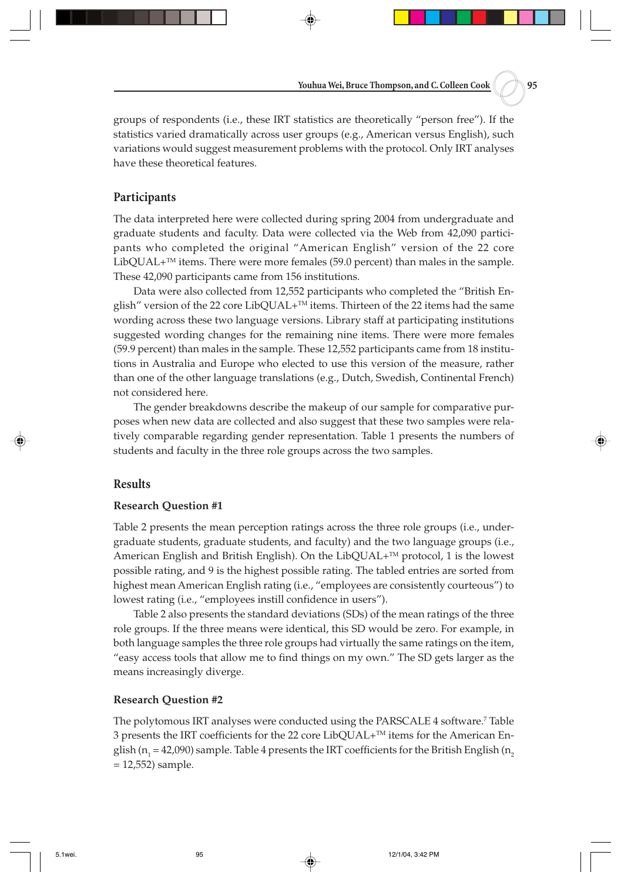groups of respondents (i.e., these IRT statistics are theoretically "person free"). If the statistics varied dramatically across user groups (e.g., American versus English), such variations would suggest measurement problems with the protocol. Only IRT analyses have these theoretical features.

#### **Participants**

The data interpreted here were collected during spring 2004 from undergraduate and graduate students and faculty. Data were collected via the Web from 42,090 participants who completed the original "American English" version of the 22 core  $LibQUAL+<sup>TM</sup>$  items. There were more females (59.0 percent) than males in the sample. These 42,090 participants came from 156 institutions.

Data were also collected from 12,552 participants who completed the "British English" version of the 22 core LibQUAL+<sup>™</sup> items. Thirteen of the 22 items had the same wording across these two language versions. Library staff at participating institutions suggested wording changes for the remaining nine items. There were more females (59.9 percent) than males in the sample. These 12,552 participants came from 18 institutions in Australia and Europe who elected to use this version of the measure, rather than one of the other language translations (e.g., Dutch, Swedish, Continental French) not considered here.

The gender breakdowns describe the makeup of our sample for comparative purposes when new data are collected and also suggest that these two samples were relatively comparable regarding gender representation. Table 1 presents the numbers of students and faculty in the three role groups across the two samples.

### **Results**

#### **Research Question #1**

Table 2 presents the mean perception ratings across the three role groups (i.e., undergraduate students, graduate students, and faculty) and the two language groups (i.e., American English and British English). On the LibQUAL $+^{TM}$  protocol, 1 is the lowest possible rating, and 9 is the highest possible rating. The tabled entries are sorted from highest mean American English rating (i.e., "employees are consistently courteous") to lowest rating (i.e., "employees instill confidence in users").

Table 2 also presents the standard deviations (SDs) of the mean ratings of the three role groups. If the three means were identical, this SD would be zero. For example, in both language samples the three role groups had virtually the same ratings on the item, "easy access tools that allow me to find things on my own." The SD gets larger as the means increasingly diverge.

#### **Research Question #2**

The polytomous IRT analyses were conducted using the PARSCALE 4 software.7 Table 3 presents the IRT coefficients for the 22 core LibQUAL+TM items for the American English (n<sub>1</sub> = 42,090) sample. Table 4 presents the IRT coefficients for the British English (n<sub>2</sub> = 12,552) sample.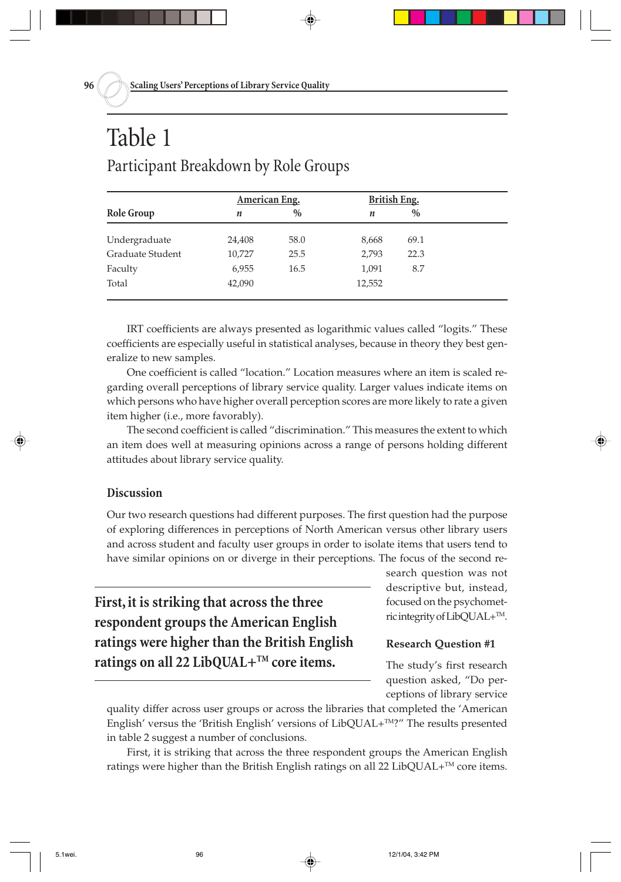## Table 1 Participant Breakdown by Role Groups

|                  | American Eng. |               | <b>British Eng.</b> |      |  |
|------------------|---------------|---------------|---------------------|------|--|
| Role Group       | n             | $\frac{0}{0}$ | $\boldsymbol{n}$    | $\%$ |  |
| Undergraduate    | 24,408        | 58.0          | 8,668               | 69.1 |  |
| Graduate Student | 10,727        | 25.5          | 2,793               | 22.3 |  |
| Faculty          | 6,955         | 16.5          | 1,091               | 8.7  |  |
| Total            | 42,090        |               | 12,552              |      |  |
|                  |               |               |                     |      |  |

IRT coefficients are always presented as logarithmic values called "logits." These coefficients are especially useful in statistical analyses, because in theory they best generalize to new samples.

One coefficient is called "location." Location measures where an item is scaled regarding overall perceptions of library service quality. Larger values indicate items on which persons who have higher overall perception scores are more likely to rate a given item higher (i.e., more favorably).

The second coefficient is called "discrimination." This measures the extent to which an item does well at measuring opinions across a range of persons holding different attitudes about library service quality.

### **Discussion**

Our two research questions had different purposes. The first question had the purpose of exploring differences in perceptions of North American versus other library users and across student and faculty user groups in order to isolate items that users tend to have similar opinions on or diverge in their perceptions. The focus of the second re-

**First, it is striking that across the three respondent groups the American English ratings were higher than the British English ratings on all 22 LibQUAL+TM core items.**

search question was not descriptive but, instead, focused on the psychometric integrity of LibQUAL+TM.

#### **Research Question #1**

The study's first research question asked, "Do perceptions of library service

quality differ across user groups or across the libraries that completed the 'American English' versus the 'British English' versions of LibQUAL+<sup>TM</sup>?" The results presented in table 2 suggest a number of conclusions.

First, it is striking that across the three respondent groups the American English ratings were higher than the British English ratings on all 22 LibQUAL $+^{TM}$  core items.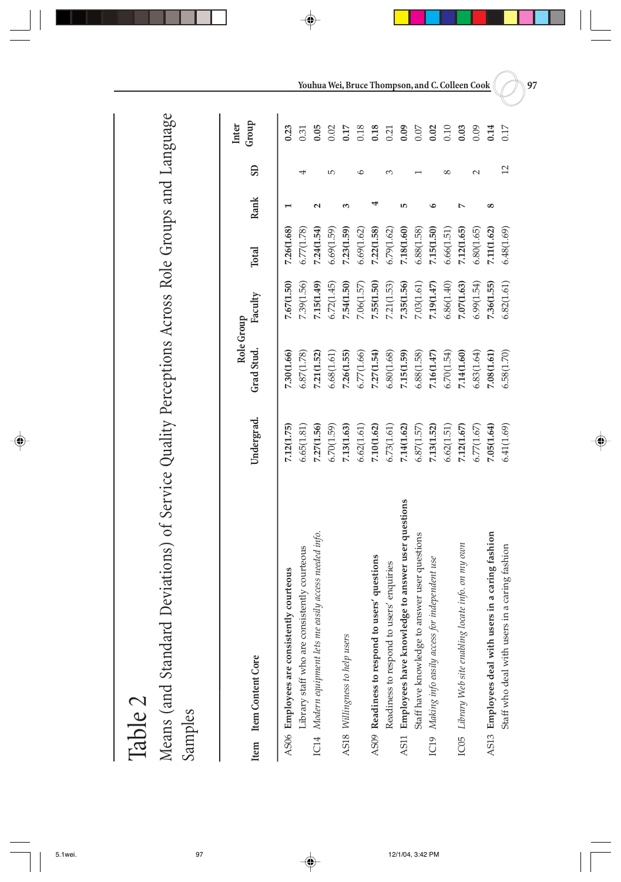Table 2 Samples Means (and Standard Deviations) of Service Quality Perceptions Across Role Groups and Language

|                        |                                                           |            | Role Group |            |            |      |                 | Group<br>Inter |
|------------------------|-----------------------------------------------------------|------------|------------|------------|------------|------|-----------------|----------------|
| Item Item Content Core |                                                           | Undergrad. | Grad Stud. | Faculty    | Total      | Rank | SD <sub>1</sub> |                |
|                        | AS06 Employees are consistently courteous                 | 7.12(1.75) | 7.30(1.66) | 7.67(1.50) | 7.26(1.68) |      |                 | 0.23           |
|                        | Library staff who are consistently courteous              | 6.65(1.81) | 6.87(1.78) | 7.39(1.56) | 6.77(1.78) |      | 4               | 0.31           |
|                        | IC14 Modern equipment lets me easily access needed info.  | 7.27(1.56) | 7.21(1.52) | 7.15(1.49) | 7.24(1.54) | ี    |                 | 0.05           |
|                        |                                                           | 6.70(1.59) | 6.68(1.61) | 6.72(1.45) | 6.69(1.59) |      | LO,             | 0.02           |
|                        | AS18 Willingness to help users                            | 7.13(1.63) | 7.26(1.55) | 7.54(1.50) | 7.23(1.59) |      |                 | 0.17           |
|                        |                                                           | 6.62(1.61) | 6.77(1.66) | 7.06(1.57) | 6.69(1.62) |      |                 | 0.18           |
|                        | AS09 Readiness to respond to users' questions             | 7.10(1.62) | 7.27(1.54) | 7.55(1.50) | 7.22(1.58) |      |                 | 0.18           |
|                        | Readiness to respond to users' enquiries                  | 6.73(1.61) | 6.80(1.68) | 7.21(1.53) | 6.79(1.62) |      |                 | 0.21           |
|                        | to answer user questions<br>AS11 Employees have knowledge | 7.14(1.62) | 7.15(1.59) | 7.35(1.56) | 7.18(1.60) |      |                 | 0.09           |
|                        | Staff have knowledge to answer user questions             | 6.87(1.57) | 6.88(1.58) | 7.03(1.61) | 6.88(1.58) |      |                 | 0.07           |
|                        | IC19 Making info easily access for independent use        | 7.13(1.52) | 7.16(1.47) | 7.19(1.47) | 7.15(1.50) |      |                 | 0.02           |
|                        |                                                           | 6.62(1.51) | 6.70(1.54) | 6.86(1.40) | 6.66(1.51) |      |                 | 0.10           |
|                        | IC05 Library Web site enabling locate info. on my own     | 7.12(1.67) | 7.14(1.60) | 7.07(1.63) | 7.12(1.65) |      |                 | 0.03           |
|                        |                                                           | 6.77(1.67) | 6.83(1.64) | 6.99(1.54) | 6.80(1.65) |      |                 | 0.09           |
|                        | AS13 Employees deal with users in a caring fashion        | 7.05(1.64) | 7.08(1.61) | 7.36(1.55) | 7.11(1.62) | œ    |                 | 0.14           |
|                        | Staff who deal with users in a caring fashion             | 6.41(1.69) | 6.58(1.70) | 6.82(1.61) | 6.48(1.69) |      | $\overline{12}$ | 0.17           |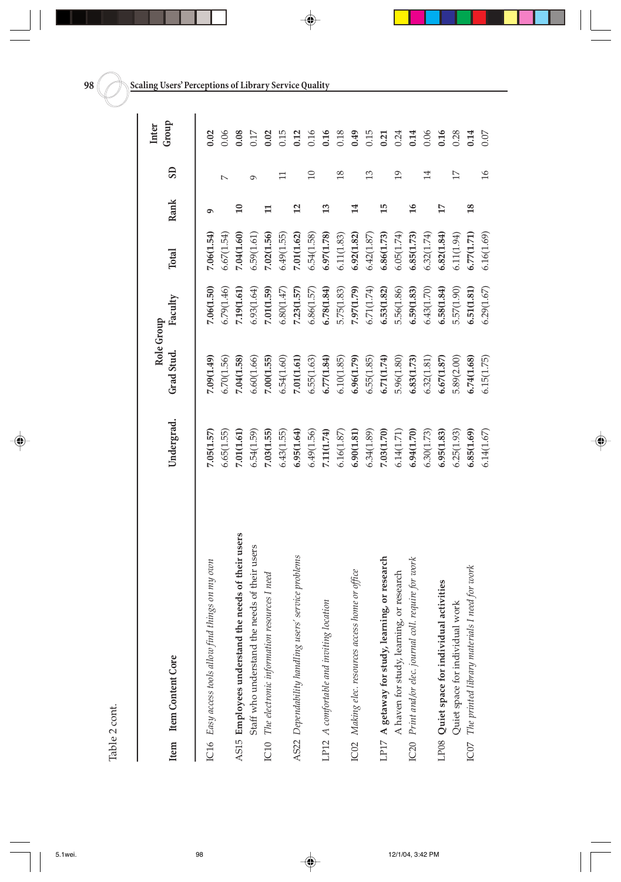| п       |  |
|---------|--|
|         |  |
| I<br>i. |  |

|      |                                                        |            | Role Group |            |              |                 |                 | Inter |
|------|--------------------------------------------------------|------------|------------|------------|--------------|-----------------|-----------------|-------|
|      | Item Item Content Core                                 | Undergrad. | Grad Stud. | Faculty    | <b>Total</b> | Rank            | <b>GS</b>       | Group |
|      | IC16 Easy access tools allow find things on my own     | 7.05(1.57) | 7.09(1.49) | 7.06(1.50) | 7.06(1.54)   | ᡋ               |                 | 0.02  |
|      |                                                        | 6.65(1.55) | 6.70(1.56) | 6.79(1.46) | 6.67(1.54)   |                 |                 | 0.06  |
|      | AS15 Employees understand the needs of their users     | 7.01(1.61) | 7.04(1.58) | 7.19(1.61) | 7.04(1.60)   | $\overline{10}$ |                 | 0.08  |
|      | Staff who understand the needs of their users          | 6.54(1.59) | 6.60(1.66) | 6.93(1.64) | 6.59(1.61)   |                 | σ               | 0.17  |
|      | IC10 The electronic information resources I need       | 7.03(1.55) | 7.00(1.55) | 7.01(1.59) | 7.02(1.56)   | $\mathbf{H}$    |                 | 0.02  |
|      |                                                        | 6.43(1.55) | 6.54(1.60) | 6.80(1.47) | 6.49(1.55)   |                 |                 | 0.15  |
|      | AS22 Dependability handling users' service problems    | 6.95(1.64) | 7.01(1.61) | 7.23(1.57) | 7.01(1.62)   | $\overline{c}$  |                 | 0.12  |
|      |                                                        | 6.49(1.56) | 6.55(1.63) | 6.86(1.57) | 6.54(1.58)   |                 | $\Box$          | 0.16  |
|      | LP12 A comfortable and inviting location               | 7.11(1.74) | 6.77(1.84) | 6.78(1.84) | 6.97(1.78)   | 13              |                 | 0.16  |
|      |                                                        | 6.16(1.87) | 6.10(1.85) | 5.75(1.83) | 6.11(1.83)   |                 | $\frac{8}{2}$   | 0.18  |
|      | ICO2 Making elec. resources access home or office      | 6.90(1.81) | 6.96(1.79) | 7.97(1.79) | 6.92(1.82)   | 14              |                 | 0.49  |
|      |                                                        | 6.34(1.89) | 6.55(1.85) | 6.71(1.74) | 6.42(1.87)   |                 | $\overline{13}$ | 0.15  |
|      | $L$ P17 A getaway for study, learning, or research     | 7.03(1.70) | 6.71(1.74) | 6.53(1.82) | 6.86(1.73)   | $\overline{15}$ |                 | 0.21  |
|      | A haven for study, learning, or research               | 6.14(1.71) | 5.96(1.80) | 5.56(1.86) | 6.05(1.74)   |                 | $\overline{19}$ | 0.24  |
|      | IC20 Print and/or elec. journal coll. require for work | 6.94(1.70) | 6.83(1.73) | 6.59(1.83) | 6.85(1.73)   | $\overline{16}$ |                 | 0.14  |
|      |                                                        | 6.30(1.73) | 6.32(1.81) | 6.43(1.70) | 6.32(1.74)   |                 | 14              | 0.06  |
|      | LP08 Quiet space for individual activities             | 6.95(1.83) | 6.67(1.87) | 6.58(1.84) | 6.82(1.84)   | 17              |                 | 0.16  |
|      | Quiet space for individual work                        | 6.25(1.93) | 5.89(2.00) | 5.57(1.90) | 6.11(1.94)   |                 | $\overline{17}$ | 0.28  |
| ICO7 | The printed library materials I need for work          | 6.85(1.69) | 6.74(1.68) | 6.51(1.81) | 6.77(1.71)   | $\frac{8}{2}$   |                 | 0.14  |
|      |                                                        | 6.14(1.67) | 6.15(1.75) | 6.29(1.67) | 6.16(1.69)   |                 | $\frac{6}{2}$   | 0.07  |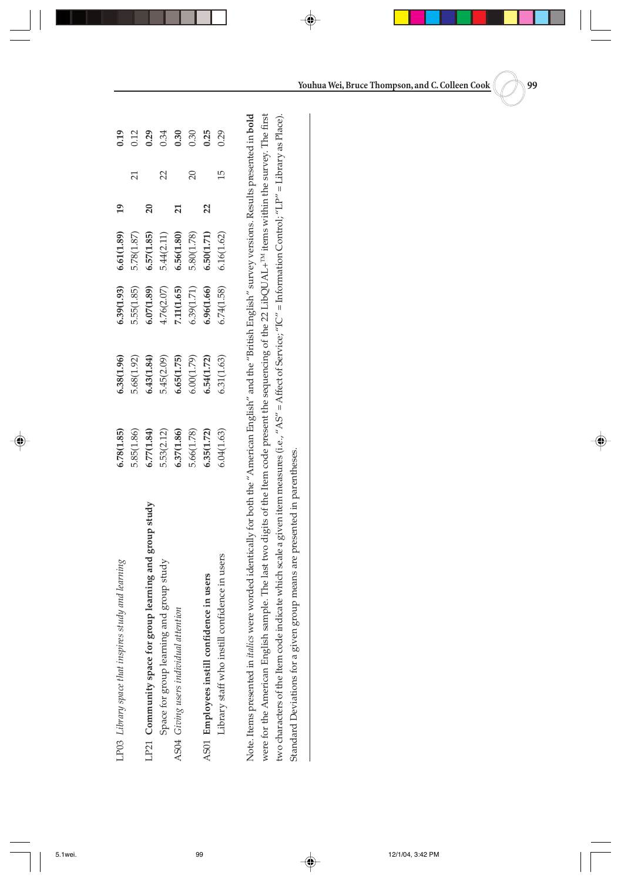| LP03 Library space that inspires study and learning       | .78(1.85)                                                                                                             |                                                                   | 6.39(1.93)                                           | 6.61(1.89)                    | $\overline{19}$ |                 |                                                            |
|-----------------------------------------------------------|-----------------------------------------------------------------------------------------------------------------------|-------------------------------------------------------------------|------------------------------------------------------|-------------------------------|-----------------|-----------------|------------------------------------------------------------|
|                                                           |                                                                                                                       |                                                                   |                                                      |                               |                 | $\overline{21}$ |                                                            |
| $LP21$ Community space for group learning and group study |                                                                                                                       |                                                                   |                                                      | $5.78(1.87)$<br>6.57(1.85)    | $\overline{20}$ |                 |                                                            |
| Space for group learning and group study                  | $\begin{array}{c} 5.85 (1.86) \\ 6.77 (1.84) \\ 5.53 (2.12) \\ 6.37 (1.86) \\ 5.66 (1.78) \\ 5.66 (1.72) \end{array}$ | 5.38(1.92)<br>5.68(1.92)<br>5.43(1.84)<br>5.4(1.75)<br>6.65(1.79) | 5.55(1.85)<br>6.07(1.89)<br>4.76(2.07)<br>7.11(1.65) |                               |                 | $\overline{2}$  | $\begin{array}{c} 2.9 \\ 0.2 \\ 0.3 \\ 0.3 \\ \end{array}$ |
| AS04 Giving users individual attention                    |                                                                                                                       |                                                                   |                                                      | $5.44(2.11)$<br>6.56 $(1.80)$ | 21              |                 |                                                            |
|                                                           |                                                                                                                       |                                                                   | 5.39(1.71)<br>5.96(1.66)                             | 5.80(1.78)                    |                 | $\overline{20}$ |                                                            |
| AS01 Employees instill confidence in users                |                                                                                                                       |                                                                   |                                                      | 6.50(1.71)                    | 22              |                 | 0.25                                                       |
| Library staff who instill confidence in users             | .04(1.63)                                                                                                             | 5.31(1.63)                                                        | .74(1.58)                                            | 6.16(1.62)                    |                 | 15              | 0.29                                                       |
|                                                           |                                                                                                                       |                                                                   |                                                      |                               |                 |                 |                                                            |

Note. Items presented in *italics* were worded identically for both the "American English" and the "British English" survey versions. Results presented in bold were for the American English sample. The last two digits of the Item code present the sequencing of the 22 LibQUAL+<sup>nM</sup> items within the survey. The first Note. Items presented in *italics* were worded identically for both the "American English" and the "British English" survey versions. Results presented in **bold** were for the American English sample. The last two digits of the Item code present the sequencing of the 22 LibQUAL+TM items within the survey. The first two characters of the Item code indicate which scale a given item measures (i.e., "AS" = Affect of Service; "IC" = Information Control; "LP" = Library as Place). two characters of the Item code indicate which scale a given item measures (i.e., "AS" = Affect of Service; "IC" = Information Control; "LP" = Library as Place). Standard Deviations for a given group means are presented in parentheses. Standard Deviations for a given group means are presented in parentheses.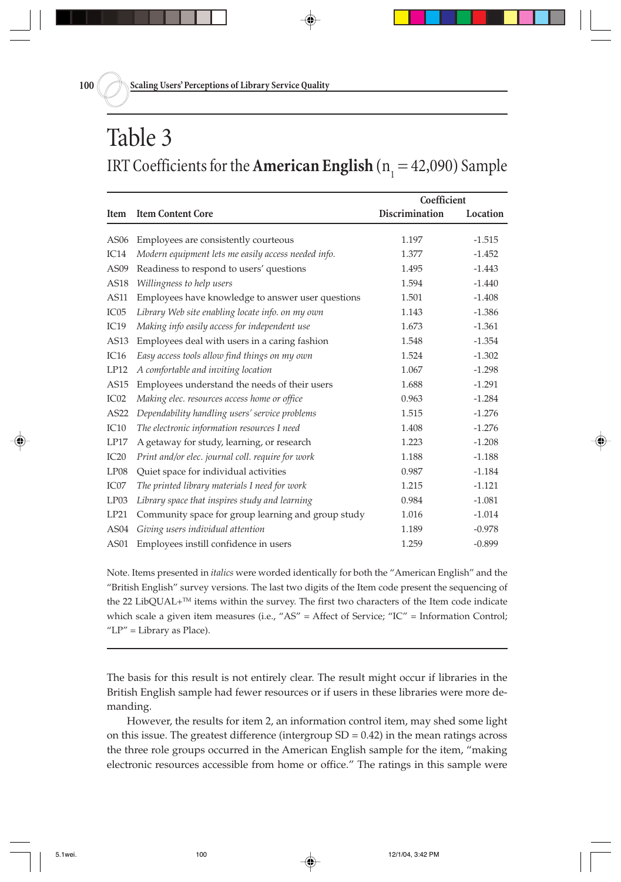## Table 3 IRT Coefficients for the **American English** ( $n_1 = 42,090$ ) Sample

|                  |                                                     | Coefficient    |          |
|------------------|-----------------------------------------------------|----------------|----------|
| Item             | <b>Item Content Core</b>                            | Discrimination | Location |
|                  |                                                     |                |          |
| AS06             | Employees are consistently courteous                | 1.197          | $-1.515$ |
| IC <sub>14</sub> | Modern equipment lets me easily access needed info. | 1.377          | $-1.452$ |
| AS <sub>09</sub> | Readiness to respond to users' questions            | 1.495          | $-1.443$ |
| AS18             | Willingness to help users                           | 1.594          | $-1.440$ |
| AS11             | Employees have knowledge to answer user questions   | 1.501          | $-1.408$ |
| IC <sub>05</sub> | Library Web site enabling locate info. on my own    | 1.143          | $-1.386$ |
| IC19             | Making info easily access for independent use       | 1.673          | $-1.361$ |
| AS <sub>13</sub> | Employees deal with users in a caring fashion       | 1.548          | $-1.354$ |
| IC <sub>16</sub> | Easy access tools allow find things on my own       | 1.524          | $-1.302$ |
| LP12             | A comfortable and inviting location                 | 1.067          | $-1.298$ |
| AS <sub>15</sub> | Employees understand the needs of their users       | 1.688          | $-1.291$ |
| IC <sub>02</sub> | Making elec. resources access home or office        | 0.963          | $-1.284$ |
| AS22             | Dependability handling users' service problems      | 1.515          | $-1.276$ |
| IC10             | The electronic information resources I need         | 1.408          | $-1.276$ |
| LP17             | A getaway for study, learning, or research          | 1.223          | $-1.208$ |
| IC20             | Print and/or elec. journal coll. require for work   | 1.188          | $-1.188$ |
| LP08             | Quiet space for individual activities               | 0.987          | $-1.184$ |
| IC07             | The printed library materials I need for work       | 1.215          | $-1.121$ |
| LP03             | Library space that inspires study and learning      | 0.984          | $-1.081$ |
| LP21             | Community space for group learning and group study  | 1.016          | $-1.014$ |
| AS <sub>04</sub> | Giving users individual attention                   | 1.189          | $-0.978$ |
| AS01             | Employees instill confidence in users               | 1.259          | $-0.899$ |

Note. Items presented in *italics* were worded identically for both the "American English" and the "British English" survey versions. The last two digits of the Item code present the sequencing of the 22 LibQUAL+TM items within the survey. The first two characters of the Item code indicate which scale a given item measures (i.e., "AS" = Affect of Service; "IC" = Information Control; " $LP"$  = Library as Place).

The basis for this result is not entirely clear. The result might occur if libraries in the British English sample had fewer resources or if users in these libraries were more demanding.

However, the results for item 2, an information control item, may shed some light on this issue. The greatest difference (intergroup  $SD = 0.42$ ) in the mean ratings across the three role groups occurred in the American English sample for the item, "making electronic resources accessible from home or office." The ratings in this sample were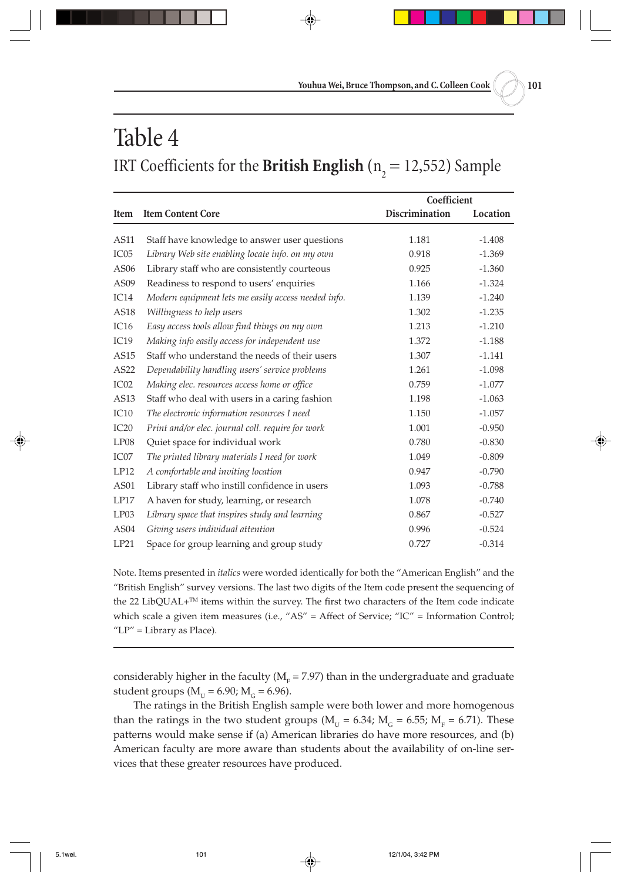# Table 4 IRT Coefficients for the **British English** ( $n_2 = 12,552$ ) Sample

|                  |                                                     | Coefficient           |          |
|------------------|-----------------------------------------------------|-----------------------|----------|
| Item             | <b>Item Content Core</b>                            | <b>Discrimination</b> | Location |
| AS11             |                                                     | 1.181                 | $-1.408$ |
|                  | Staff have knowledge to answer user questions       |                       |          |
| IC05             | Library Web site enabling locate info. on my own    | 0.918                 | $-1.369$ |
| AS06             | Library staff who are consistently courteous        | 0.925                 | $-1.360$ |
| AS09             | Readiness to respond to users' enquiries            | 1.166                 | $-1.324$ |
| IC14             | Modern equipment lets me easily access needed info. | 1.139                 | $-1.240$ |
| AS18             | Willingness to help users                           | 1.302                 | $-1.235$ |
| IC16             | Easy access tools allow find things on my own       | 1.213                 | $-1.210$ |
| IC19             | Making info easily access for independent use       | 1.372                 | $-1.188$ |
| <b>AS15</b>      | Staff who understand the needs of their users       | 1.307                 | $-1.141$ |
| AS22             | Dependability handling users' service problems      | 1.261                 | $-1.098$ |
| IC <sub>02</sub> | Making elec. resources access home or office        | 0.759                 | $-1.077$ |
| AS13             | Staff who deal with users in a caring fashion       | 1.198                 | $-1.063$ |
| IC10             | The electronic information resources I need         | 1.150                 | $-1.057$ |
| IC20             | Print and/or elec. journal coll. require for work   | 1.001                 | $-0.950$ |
| LP08             | Quiet space for individual work                     | 0.780                 | $-0.830$ |
| IC07             | The printed library materials I need for work       | 1.049                 | $-0.809$ |
| LP12             | A comfortable and inviting location                 | 0.947                 | $-0.790$ |
| <b>AS01</b>      | Library staff who instill confidence in users       | 1.093                 | $-0.788$ |
| LP17             | A haven for study, learning, or research            | 1.078                 | $-0.740$ |
| LP03             | Library space that inspires study and learning      | 0.867                 | $-0.527$ |
| AS <sub>04</sub> | Giving users individual attention                   | 0.996                 | $-0.524$ |
| LP21             | Space for group learning and group study            | 0.727                 | $-0.314$ |

Note. Items presented in *italics* were worded identically for both the "American English" and the "British English" survey versions. The last two digits of the Item code present the sequencing of the 22 LibQUAL+™ items within the survey. The first two characters of the Item code indicate which scale a given item measures (i.e., "AS" = Affect of Service; "IC" = Information Control; " $LP"$  = Library as Place).

considerably higher in the faculty (M $_{\rm F}$  = 7.97) than in the undergraduate and graduate student groups ( $M_{U} = 6.90$ ;  $M_{G} = 6.96$ ).

The ratings in the British English sample were both lower and more homogenous than the ratings in the two student groups ( $M_{\text{U}} = 6.34$ ;  $M_{\text{G}} = 6.55$ ;  $M_{\text{F}} = 6.71$ ). These patterns would make sense if (a) American libraries do have more resources, and (b) American faculty are more aware than students about the availability of on-line services that these greater resources have produced.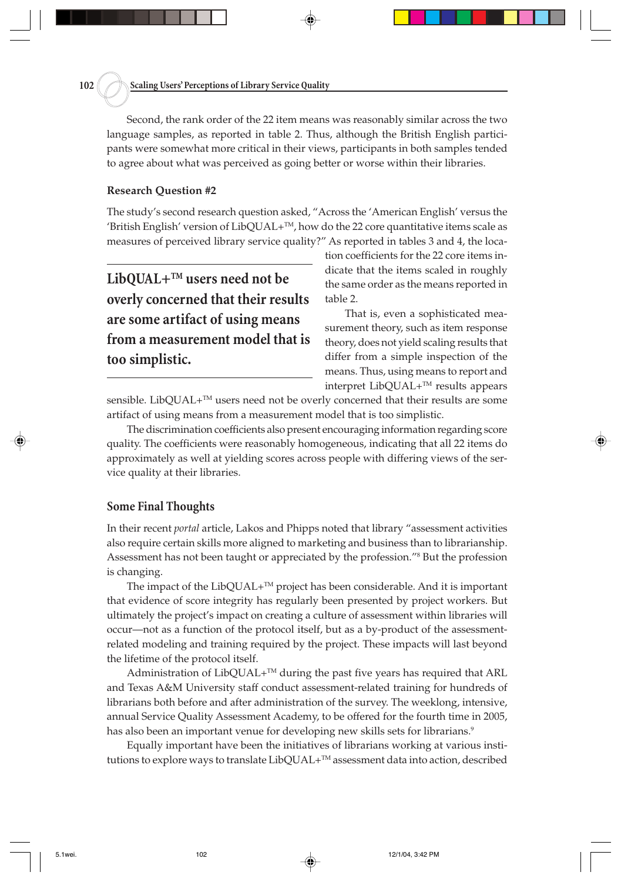Second, the rank order of the 22 item means was reasonably similar across the two language samples, as reported in table 2. Thus, although the British English participants were somewhat more critical in their views, participants in both samples tended to agree about what was perceived as going better or worse within their libraries.

#### **Research Question #2**

The study's second research question asked, "Across the 'American English' versus the 'British English' version of LibQUAL+ $TM$ , how do the 22 core quantitative items scale as measures of perceived library service quality?" As reported in tables 3 and 4, the loca-

**LibQUAL+TM users need not be overly concerned that their results are some artifact of using means from a measurement model that is too simplistic.**

tion coefficients for the 22 core items indicate that the items scaled in roughly the same order as the means reported in table 2.

That is, even a sophisticated measurement theory, such as item response theory, does not yield scaling results that differ from a simple inspection of the means. Thus, using means to report and interpret LibQUAL+TM results appears

sensible. LibQUAL+<sup>™</sup> users need not be overly concerned that their results are some artifact of using means from a measurement model that is too simplistic.

The discrimination coefficients also present encouraging information regarding score quality. The coefficients were reasonably homogeneous, indicating that all 22 items do approximately as well at yielding scores across people with differing views of the service quality at their libraries.

#### **Some Final Thoughts**

In their recent *portal* article, Lakos and Phipps noted that library "assessment activities also require certain skills more aligned to marketing and business than to librarianship. Assessment has not been taught or appreciated by the profession."8 But the profession is changing.

The impact of the  $LibQUAL+^{TM}$  project has been considerable. And it is important that evidence of score integrity has regularly been presented by project workers. But ultimately the project's impact on creating a culture of assessment within libraries will occur—not as a function of the protocol itself, but as a by-product of the assessmentrelated modeling and training required by the project. These impacts will last beyond the lifetime of the protocol itself.

Administration of LibQUAL+<sup>™</sup> during the past five years has required that ARL and Texas A&M University staff conduct assessment-related training for hundreds of librarians both before and after administration of the survey. The weeklong, intensive, annual Service Quality Assessment Academy, to be offered for the fourth time in 2005, has also been an important venue for developing new skills sets for librarians.<sup>9</sup>

Equally important have been the initiatives of librarians working at various institutions to explore ways to translate LibQUAL+™ assessment data into action, described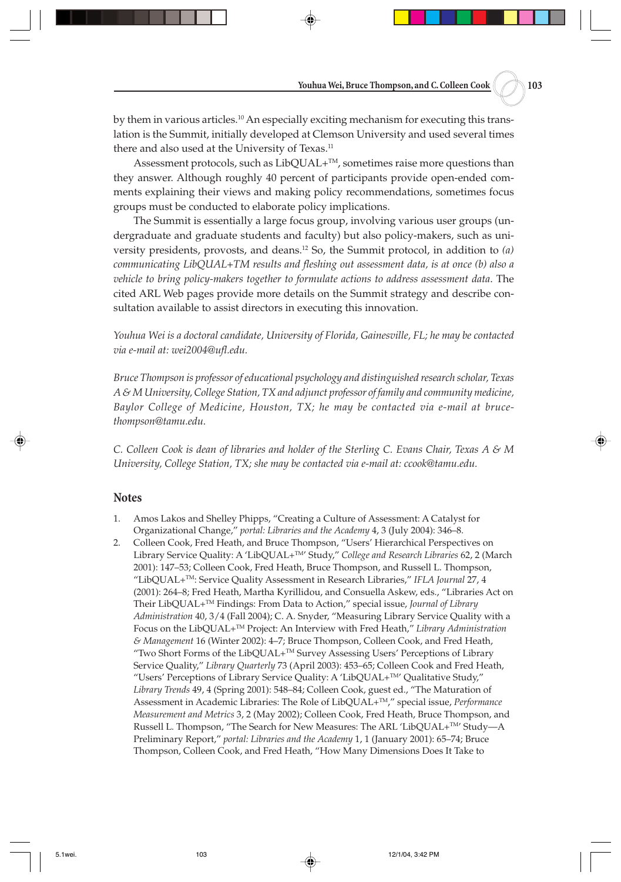by them in various articles.10 An especially exciting mechanism for executing this translation is the Summit, initially developed at Clemson University and used several times there and also used at the University of Texas.<sup>11</sup>

Assessment protocols, such as LibQUAL+<sup>™</sup>, sometimes raise more questions than they answer. Although roughly 40 percent of participants provide open-ended comments explaining their views and making policy recommendations, sometimes focus groups must be conducted to elaborate policy implications.

The Summit is essentially a large focus group, involving various user groups (undergraduate and graduate students and faculty) but also policy-makers, such as university presidents, provosts, and deans.12 So, the Summit protocol, in addition to *(a) communicating LibQUAL+TM results and fleshing out assessment data, is at once (b) also a vehicle to bring policy-makers together to formulate actions to address assessment data*. The cited ARL Web pages provide more details on the Summit strategy and describe consultation available to assist directors in executing this innovation.

*Youhua Wei is a doctoral candidate, University of Florida, Gainesville, FL; he may be contacted via e-mail at: wei2004@ufl.edu.*

*Bruce Thompson is professor of educational psychology and distinguished research scholar, Texas A & M University, College Station, TX and adjunct professor of family and community medicine, Baylor College of Medicine, Houston, TX; he may be contacted via e-mail at brucethompson@tamu.edu.*

*C. Colleen Cook is dean of libraries and holder of the Sterling C. Evans Chair, Texas A & M University, College Station, TX; she may be contacted via e-mail at: ccook@tamu.edu.*

#### **Notes**

- 1. Amos Lakos and Shelley Phipps, "Creating a Culture of Assessment: A Catalyst for Organizational Change," *portal: Libraries and the Academy* 4, 3 (July 2004): 346–8.
- 2. Colleen Cook, Fred Heath, and Bruce Thompson, "Users' Hierarchical Perspectives on Library Service Quality: A 'LibQUAL+<sup>TM</sup>' Study," College and Research Libraries 62, 2 (March 2001): 147–53; Colleen Cook, Fred Heath, Bruce Thompson, and Russell L. Thompson, "LibQUAL+TM: Service Quality Assessment in Research Libraries," *IFLA Journal* 27, 4 (2001): 264–8; Fred Heath, Martha Kyrillidou, and Consuella Askew, eds., "Libraries Act on Their LibQUAL+TM Findings: From Data to Action," special issue, *Journal of Library Administration* 40, 3/4 (Fall 2004); C. A. Snyder, "Measuring Library Service Quality with a Focus on the LibQUAL+TM Project: An Interview with Fred Heath," *Library Administration & Management* 16 (Winter 2002): 4–7; Bruce Thompson, Colleen Cook, and Fred Heath, "Two Short Forms of the LibQUAL+TM Survey Assessing Users' Perceptions of Library Service Quality," *Library Quarterly* 73 (April 2003): 453–65; Colleen Cook and Fred Heath, "Users' Perceptions of Library Service Quality: A 'LibQUAL+TM' Qualitative Study," *Library Trends* 49, 4 (Spring 2001): 548–84; Colleen Cook, guest ed., "The Maturation of Assessment in Academic Libraries: The Role of LibQUAL+TM," special issue, *Performance Measurement and Metrics* 3, 2 (May 2002); Colleen Cook, Fred Heath, Bruce Thompson, and Russell L. Thompson, "The Search for New Measures: The ARL 'LibQUAL+<sup>™</sup>' Study--A Preliminary Report," *portal: Libraries and the Academy* 1, 1 (January 2001): 65–74; Bruce Thompson, Colleen Cook, and Fred Heath, "How Many Dimensions Does It Take to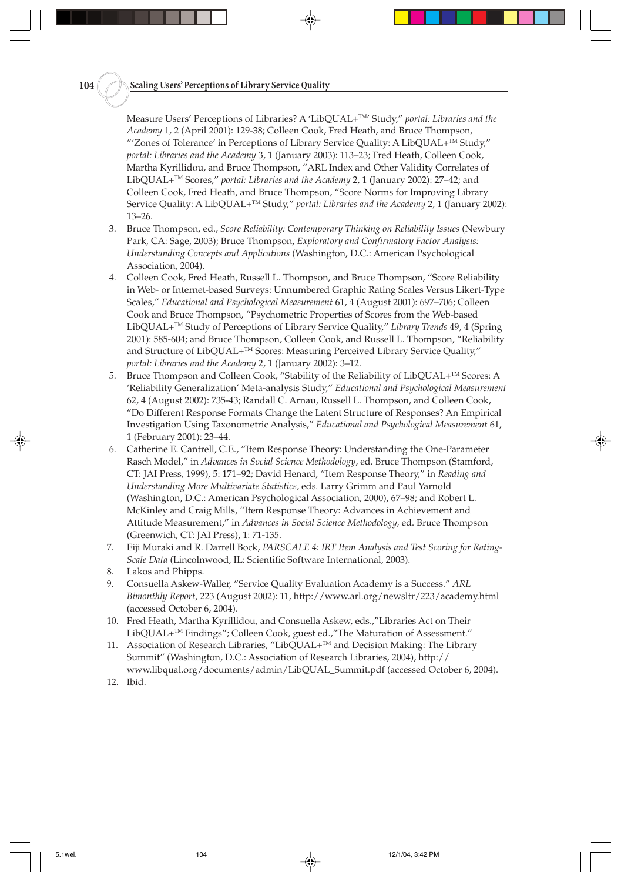Measure Users' Perceptions of Libraries? A 'LibQUAL+TM' Study," *portal: Libraries and the Academy* 1, 2 (April 2001): 129-38; Colleen Cook, Fred Heath, and Bruce Thompson, "'Zones of Tolerance' in Perceptions of Library Service Quality: A LibQUAL+ $^{TM}$  Study," *portal: Libraries and the Academy* 3, 1 (January 2003): 113–23; Fred Heath, Colleen Cook, Martha Kyrillidou, and Bruce Thompson, "ARL Index and Other Validity Correlates of LibQUAL+TM Scores," *portal: Libraries and the Academy* 2, 1 (January 2002): 27–42; and Colleen Cook, Fred Heath, and Bruce Thompson, "Score Norms for Improving Library Service Quality: A LibQUAL+<sup>TM</sup> Study," *portal: Libraries and the Academy* 2, 1 (January 2002): 13–26.

- 3. Bruce Thompson, ed., *Score Reliability: Contemporary Thinking on Reliability Issues* (Newbury Park, CA: Sage, 2003); Bruce Thompson, *Exploratory and Confirmatory Factor Analysis: Understanding Concepts and Applications* (Washington, D.C.: American Psychological Association, 2004).
- 4. Colleen Cook, Fred Heath, Russell L. Thompson, and Bruce Thompson, "Score Reliability in Web- or Internet-based Surveys: Unnumbered Graphic Rating Scales Versus Likert-Type Scales," *Educational and Psychological Measurement* 61, 4 (August 2001): 697–706; Colleen Cook and Bruce Thompson, "Psychometric Properties of Scores from the Web-based LibQUAL+TM Study of Perceptions of Library Service Quality," *Library Trends* 49, 4 (Spring 2001): 585-604; and Bruce Thompson, Colleen Cook, and Russell L. Thompson, "Reliability and Structure of LibQUAL+<sup>™</sup> Scores: Measuring Perceived Library Service Quality," *portal: Libraries and the Academy* 2, 1 (January 2002): 3–12.
- 5. Bruce Thompson and Colleen Cook, "Stability of the Reliability of LibQUAL+TM Scores: A 'Reliability Generalization' Meta-analysis Study," *Educational and Psychological Measurement* 62, 4 (August 2002): 735-43; Randall C. Arnau, Russell L. Thompson, and Colleen Cook, "Do Different Response Formats Change the Latent Structure of Responses? An Empirical Investigation Using Taxonometric Analysis," *Educational and Psychological Measurement* 61, 1 (February 2001): 23–44.
- 6. Catherine E. Cantrell, C.E., "Item Response Theory: Understanding the One-Parameter Rasch Model," in *Advances in Social Science Methodology*, ed. Bruce Thompson (Stamford, CT: JAI Press, 1999), 5: 171–92; David Henard, "Item Response Theory," in *Reading and Understanding More Multivariate Statistics,* eds*.* Larry Grimm and Paul Yarnold (Washington, D.C.: American Psychological Association, 2000), 67–98; and Robert L. McKinley and Craig Mills, "Item Response Theory: Advances in Achievement and Attitude Measurement," in *Advances in Social Science Methodology,* ed. Bruce Thompson (Greenwich, CT: JAI Press), 1: 71-135.
- 7. Eiji Muraki and R. Darrell Bock, *PARSCALE 4: IRT Item Analysis and Test Scoring for Rating-Scale Data* (Lincolnwood, IL: Scientific Software International, 2003).
- 8. Lakos and Phipps.
- 9. Consuella Askew-Waller, "Service Quality Evaluation Academy is a Success." *ARL Bimonthly Report*, 223 (August 2002): 11, http://www.arl.org/newsltr/223/academy.html (accessed October 6, 2004).
- 10. Fred Heath, Martha Kyrillidou, and Consuella Askew, eds.,"Libraries Act on Their LibQUAL+TM Findings"; Colleen Cook, guest ed.,"The Maturation of Assessment."
- 11. Association of Research Libraries, "LibQUAL+ $^{TM}$  and Decision Making: The Library Summit" (Washington, D.C.: Association of Research Libraries, 2004), http:// www.libqual.org/documents/admin/LibQUAL\_Summit.pdf (accessed October 6, 2004).
- 12. Ibid.